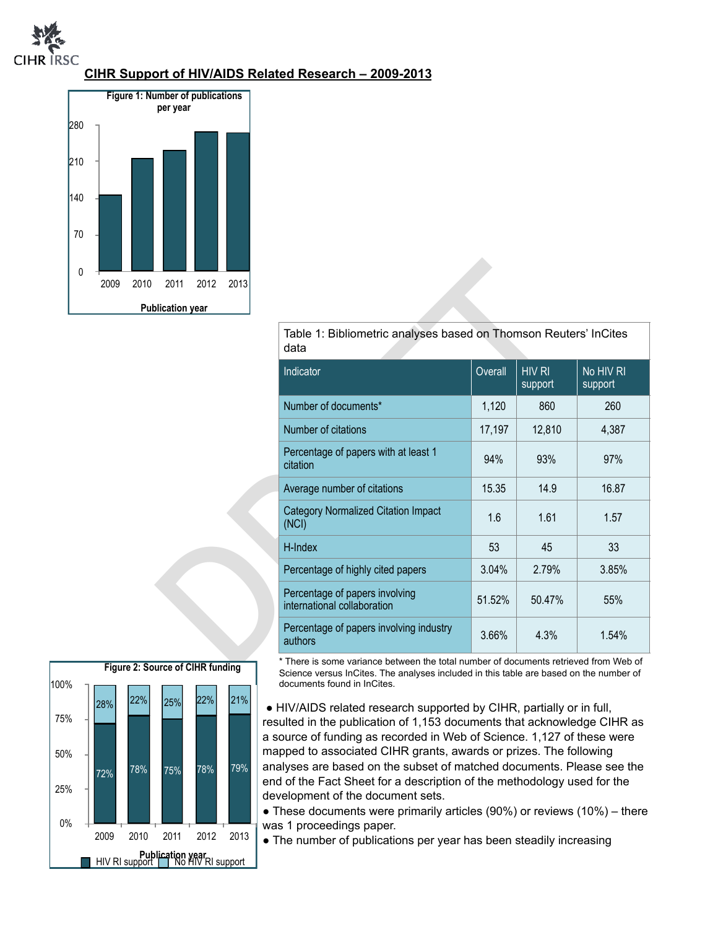

## **CIHR Support of HIV/AIDS Related Research – 2009-2013**



| 2011                  | 2012 | 2013 |                                                                                      |         |                          |                      |  |
|-----------------------|------|------|--------------------------------------------------------------------------------------|---------|--------------------------|----------------------|--|
| <b>olication</b> year |      |      |                                                                                      |         |                          |                      |  |
|                       |      |      | Table 1: Bibliometric analyses based on Thomson Reuters' InCites<br>data             |         |                          |                      |  |
|                       |      |      | Indicator                                                                            | Overall | <b>HIV RI</b><br>support | No HIV RI<br>support |  |
|                       |      |      | Number of documents*                                                                 | 1,120   | 860                      | 260                  |  |
|                       |      |      | Number of citations                                                                  | 17,197  | 12,810                   | 4,387                |  |
|                       |      |      | Percentage of papers with at least 1<br>citation                                     | 94%     | 93%                      | 97%                  |  |
|                       |      |      | Average number of citations                                                          | 15.35   | 14.9                     | 16.87                |  |
|                       |      |      | <b>Category Normalized Citation Impact</b><br>(NCI)                                  | 1.6     | 1.61                     | 1.57                 |  |
|                       |      |      | H-Index                                                                              | 53      | 45                       | 33                   |  |
|                       |      |      | Percentage of highly cited papers                                                    | 3.04%   | 2.79%                    | 3.85%                |  |
|                       |      |      | Percentage of papers involving<br>international collaboration                        | 51.52%  | 50.47%                   | 55%                  |  |
|                       |      |      | Percentage of papers involving industry<br>authors                                   | 3.66%   | 4.3%                     | 1.54%                |  |
| urce of CIHR funding  |      |      | * There is some variance between the total number of documents retrieved from Web of |         |                          |                      |  |



\* There is some variance between the total number of documents retrieved from Web of Science versus InCites. The analyses included in this table are based on the number of documents found in InCites.

• HIV/AIDS related research supported by CIHR, partially or in full, resulted in the publication of 1,153 documents that acknowledge CIHR as a source of funding as recorded in Web of Science. 1,127 of these were mapped to associated CIHR grants, awards or prizes. The following analyses are based on the subset of matched documents. Please see the end of the Fact Sheet for a description of the methodology used for the development of the document sets.

● These documents were primarily articles (90%) or reviews (10%) – there was 1 proceedings paper.

• The number of publications per year has been steadily increasing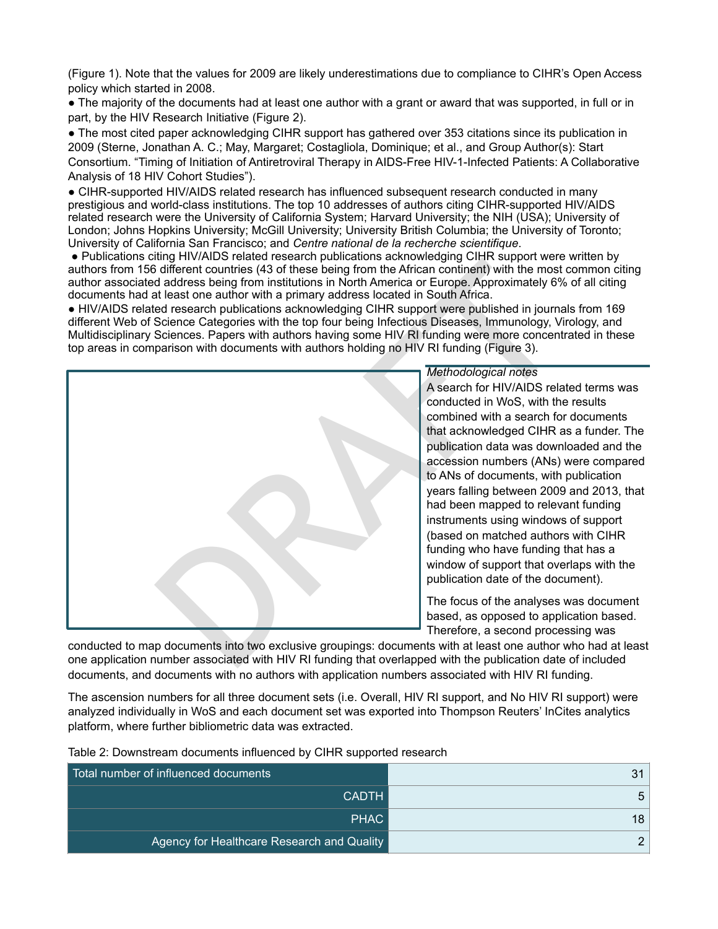(Figure 1). Note that the values for 2009 are likely underestimations due to compliance to CIHR's Open Access policy which started in 2008.

● The majority of the documents had at least one author with a grant or award that was supported, in full or in part, by the HIV Research Initiative (Figure 2).

• The most cited paper acknowledging CIHR support has gathered over 353 citations since its publication in 2009 (Sterne, Jonathan A. C.; May, Margaret; Costagliola, Dominique; et al., and Group Author(s): Start Consortium. "Timing of Initiation of Antiretroviral Therapy in AIDS-Free HIV-1-Infected Patients: A Collaborative Analysis of 18 HIV Cohort Studies").

● CIHR-supported HIV/AIDS related research has influenced subsequent research conducted in many prestigious and world-class institutions. The top 10 addresses of authors citing CIHR-supported HIV/AIDS related research were the University of California System; Harvard University; the NIH (USA); University of London; Johns Hopkins University; McGill University; University British Columbia; the University of Toronto; University of California San Francisco; and *Centre national de la recherche scientifique*.

● Publications citing HIV/AIDS related research publications acknowledging CIHR support were written by authors from 156 different countries (43 of these being from the African continent) with the most common citing author associated address being from institutions in North America or Europe. Approximately 6% of all citing documents had at least one author with a primary address located in South Africa.

● HIV/AIDS related research publications acknowledging CIHR support were published in journals from 169 different Web of Science Categories with the top four being Infectious Diseases, Immunology, Virology, and Multidisciplinary Sciences. Papers with authors having some HIV RI funding were more concentrated in these top areas in comparison with documents with authors holding no HIV RI funding (Figure 3).



A search for HIV/AIDS related terms was conducted in WoS, with the results combined with a search for documents that acknowledged CIHR as a funder. The publication data was downloaded and the accession numbers (ANs) were compared to ANs of documents, with publication years falling between 2009 and 2013, that had been mapped to relevant funding instruments using windows of support (based on matched authors with CIHR funding who have funding that has a window of support that overlaps with the publication date of the document).

The focus of the analyses was document based, as opposed to application based. Therefore, a second processing was

conducted to map documents into two exclusive groupings: documents with at least one author who had at least one application number associated with HIV RI funding that overlapped with the publication date of included documents, and documents with no authors with application numbers associated with HIV RI funding.

The ascension numbers for all three document sets (i.e. Overall, HIV RI support, and No HIV RI support) were analyzed individually in WoS and each document set was exported into Thompson Reuters' InCites analytics platform, where further bibliometric data was extracted.

| Total number of influenced documents       | 31 |
|--------------------------------------------|----|
| CADTH                                      | 5  |
| PHAC                                       | 18 |
| Agency for Healthcare Research and Quality |    |

Table 2: Downstream documents influenced by CIHR supported research